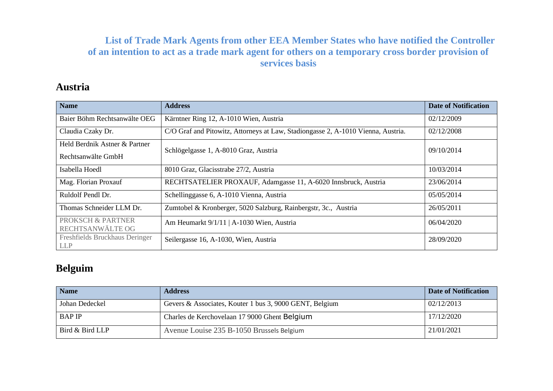### **List of Trade Mark Agents from other EEA Member States who have notified the Controller of an intention to act as a trade mark agent for others on a temporary cross border provision of services basis**

### **Austria**

| <b>Name</b>                                                      | <b>Address</b>                                                                   | <b>Date of Notification</b> |
|------------------------------------------------------------------|----------------------------------------------------------------------------------|-----------------------------|
| Baier Böhm Rechtsanwälte OEG                                     | Kärntner Ring 12, A-1010 Wien, Austria                                           | 02/12/2009                  |
| Claudia Czaky Dr.                                                | C/O Graf and Pitowitz, Attorneys at Law, Stadiongasse 2, A-1010 Vienna, Austria. | 02/12/2008                  |
| Held Berdnik Astner & Partner                                    | Schlögelgasse 1, A-8010 Graz, Austria                                            | 09/10/2014                  |
| Rechtsanwälte GmbH                                               |                                                                                  |                             |
| Isabella Hoedl                                                   | 8010 Graz, Glacisstrabe 27/2, Austria                                            | 10/03/2014                  |
| Mag. Florian Proxauf                                             | RECHTSATELIER PROXAUF, Adamgasse 11, A-6020 Innsbruck, Austria                   | 23/06/2014                  |
| Ruldolf Pendl Dr.                                                | Schellinggasse 6, A-1010 Vienna, Austria                                         | 05/05/2014                  |
| Thomas Schneider LLM Dr.                                         | Zumtobel & Kronberger, 5020 Salzburg, Rainbergstr, 3c., Austria                  | 26/05/2011                  |
| <b>PROKSCH &amp; PARTNER</b>                                     | Am Heumarkt 9/1/11   A-1030 Wien, Austria                                        | 06/04/2020                  |
| RECHTSANWÄLTE OG<br>Freshfields Bruckhaus Deringer<br><b>LLP</b> | Seilergasse 16, A-1030, Wien, Austria                                            | 28/09/2020                  |

### **Belguim**

| <b>Name</b>     | <b>Address</b>                                          | <b>Date of Notification</b> |
|-----------------|---------------------------------------------------------|-----------------------------|
| Johan Dedeckel  | Gevers & Associates, Kouter 1 bus 3, 9000 GENT, Belgium | 02/12/2013                  |
| <b>BAP IP</b>   | Charles de Kerchovelaan 17 9000 Ghent Belgium           | 17/12/2020                  |
| Bird & Bird LLP | Avenue Louise 235 B-1050 Brussels Belgium               | 21/01/2021                  |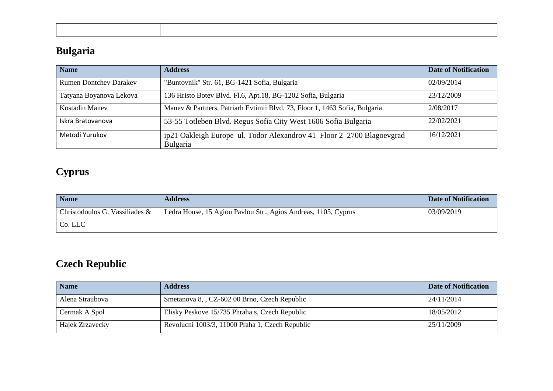# **Bulgaria**

| <b>Name</b>                   | <b>Address</b>                                                                    | <b>Date of Notification</b> |
|-------------------------------|-----------------------------------------------------------------------------------|-----------------------------|
| <b>Rumen Dontchey Darakey</b> | "Buntovnik" Str. 61, BG-1421 Sofia, Bulgaria                                      | 02/09/2014                  |
| Tatyana Boyanova Lekova       | 136 Hristo Botev Blvd. Fl.6, Apt.18, BG-1202 Sofia, Bulgaria                      | 23/12/2009                  |
| Kostadin Manev                | Manev & Partners, Patriarh Evtimii Blvd. 73, Floor 1, 1463 Sofia, Bulgaria        | 2/08/2017                   |
| Iskra Bratovanova             | 53-55 Totleben Blvd. Regus Sofia City West 1606 Sofia Bulgaria                    | 22/02/2021                  |
| Metodi Yurukov                | ip21 Oakleigh Europe ul. Todor Alexandrov 41 Floor 2 2700 Blagoevgrad<br>Bulgaria | 16/12/2021                  |

# **Cyprus**

| <b>Name</b>                    | <b>Address</b>                                                 | <b>Date of Notification</b> |
|--------------------------------|----------------------------------------------------------------|-----------------------------|
| Christodoulos G. Vassiliades & | Ledra House, 15 Agiou Pavlou Str., Agios Andreas, 1105, Cyprus | 03/09/2019                  |
| Co. LLC                        |                                                                |                             |

# **Czech Republic**

| <b>Name</b>     | <b>Address</b>                                  | <b>Date of Notification</b> |
|-----------------|-------------------------------------------------|-----------------------------|
| Alena Straubova | Smetanova 8, , CZ-602 00 Brno, Czech Republic   | 24/11/2014                  |
| Cermak A Spol   | Elisky Peskove 15/735 Phraha s, Czech Republic  | 18/05/2012                  |
| Hajek Zrzavecky | Revolucni 1003/3, 11000 Praha 1, Czech Republic | 25/11/2009                  |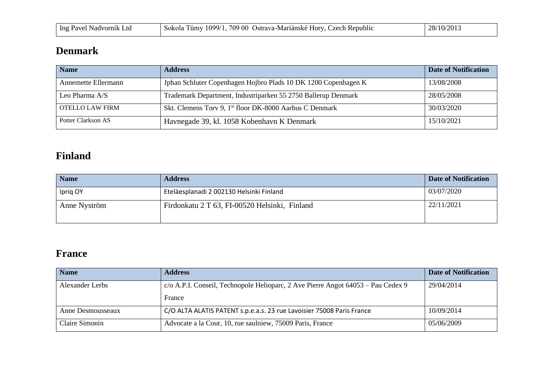| Ing Pavel<br>∟td.<br>Nadvornik | 709 00<br>1099/<br>Sokola<br>umv! | ·Mariánské<br>Republic<br><b>H</b> ory<br>zech.<br>-Strava | 10/201<br>$\cap$ $\Omega$ .<br>$\sim$ |
|--------------------------------|-----------------------------------|------------------------------------------------------------|---------------------------------------|
|--------------------------------|-----------------------------------|------------------------------------------------------------|---------------------------------------|

### **Denmark**

| <b>Name</b>         | <b>Address</b>                                                      | <b>Date of Notification</b> |
|---------------------|---------------------------------------------------------------------|-----------------------------|
| Annemette Ellermann | Jphan Schluter Copenhagen Hojbro Plads 10 DK 1200 Copenhagen K      | 13/08/2008                  |
| Leo Pharma A/S      | Trademark Department, Industriparken 55 2750 Ballerup Denmark       | 28/05/2008                  |
| OTELLO LAW FIRM     | Skt. Clemens Torv 9, 1 <sup>st</sup> floor DK-8000 Aarhus C Denmark | 30/03/2020                  |
| Potter Clarkson AS  | Havnegade 39, kl. 1058 Kobenhavn K Denmark                          | 15/10/2021                  |

### **Finland**

| <b>Name</b>  | <b>Address</b>                                | Date of Notification |
|--------------|-----------------------------------------------|----------------------|
| Iprig OY     | Eteläesplanadi 2 002130 Helsinki Finland      | 03/07/2020           |
| Anne Nyström | Firdonkatu 2 T 63, FI-00520 Helsinki, Finland | 22/11/2021           |

### **France**

| <b>Name</b>       | <b>Address</b>                                                                   | <b>Date of Notification</b> |
|-------------------|----------------------------------------------------------------------------------|-----------------------------|
| Alexander Lerbs   | c/o A.P.I. Conseil, Technopole Helioparc, 2 Ave Pierre Angot 64053 – Pau Cedex 9 | 29/04/2014                  |
|                   | France                                                                           |                             |
| Anne Desmousseaux | C/O ALTA ALATIS PATENT s.p.e.a.s. 23 rue Lavoisier 75008 Paris France            | 10/09/2014                  |
| Claire Simonin    | Advocate a la Cour, 10, rue saulniew, 75009 Paris, France                        | 05/06/2009                  |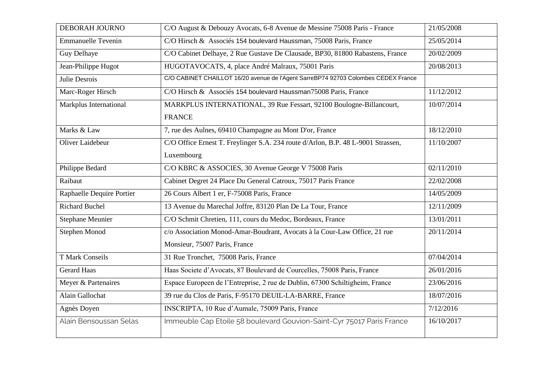| DEBORAH JOURNO            | C/O August & Debouzy Avocats, 6-8 Avenue de Messine 75008 Paris - France           | 21/05/2008 |
|---------------------------|------------------------------------------------------------------------------------|------------|
| <b>Emmanuelle Tevenin</b> | C/O Hirsch & Associés 154 boulevard Haussman, 75008 Paris, France                  | 25/05/2014 |
| Guy Delhaye               | C/O Cabinet Delhaye, 2 Rue Gustave De Clausade, BP30, 81800 Rabastens, France      | 20/02/2009 |
| Jean-Philippe Hugot       | HUGOTAVOCATS, 4, place André Malraux, 75001 Paris                                  | 20/08/2013 |
| Julie Desrois             | C/O CABINET CHAILLOT 16/20 avenue de l'Agent SarreBP74 92703 Colombes CEDEX France |            |
| Marc-Roger Hirsch         | C/O Hirsch & Associés 154 boulevard Haussman75008 Paris, France                    | 11/12/2012 |
| Markplus International    | MARKPLUS INTERNATIONAL, 39 Rue Fessart, 92100 Boulogne-Billancourt,                | 10/07/2014 |
|                           | <b>FRANCE</b>                                                                      |            |
| Marks & Law               | 7, rue des Aulnes, 69410 Champagne au Mont D'or, France                            | 18/12/2010 |
| Oliver Laidebeur          | C/O Office Ernest T. Freylinger S.A. 234 route d/Arlon, B.P. 48 L-9001 Strassen,   | 11/10/2007 |
|                           | Luxembourg                                                                         |            |
| Philippe Bedard           | C/O KBRC & ASSOCIES, 30 Avenue George V 75008 Paris                                | 02/11/2010 |
| Raibaut                   | Cabinet Degret 24 Place Du General Catroux, 75017 Paris France                     | 22/02/2008 |
| Raphaelle Dequire Portier | 26 Cours Albert 1 er, F-75008 Paris, France                                        | 14/05/2009 |
| <b>Richard Buchel</b>     | 13 Avenue du Marechal Joffre, 83120 Plan De La Tour, France                        | 12/11/2009 |
| <b>Stephane Meunier</b>   | C/O Schmit Chretien, 111, cours du Medoc, Bordeaux, France                         | 13/01/2011 |
| Stephen Monod             | c/o Association Monod-Amar-Boudrant, Avocats à la Cour-Law Office, 21 rue          | 20/11/2014 |
|                           | Monsieur, 75007 Paris, France                                                      |            |
| <b>T Mark Conseils</b>    | 31 Rue Tronchet, 75008 Paris, France                                               | 07/04/2014 |
| <b>Gerard Haas</b>        | Haas Societe d'Avocats, 87 Boulevard de Courcelles, 75008 Paris, France            | 26/01/2016 |
| Meyer & Partenaires       | Espace Europeen de l'Entreprise, 2 rue de Dublin, 67300 Schiltigheim, France       | 23/06/2016 |
| Alain Gallochat           | 39 rue du Clos de Paris, F-95170 DEUIL-LA-BARRE, France                            | 18/07/2016 |
| Agnès Doyen               | INSCRIPTA, 10 Rue d'Aumale, 75009 Paris, France                                    | 7/12/2016  |
| Alain Bensoussan Selas    | Immeuble Cap Etoile 58 boulevard Gouvion-Saint-Cyr 75017 Paris France              | 16/10/2017 |
|                           |                                                                                    |            |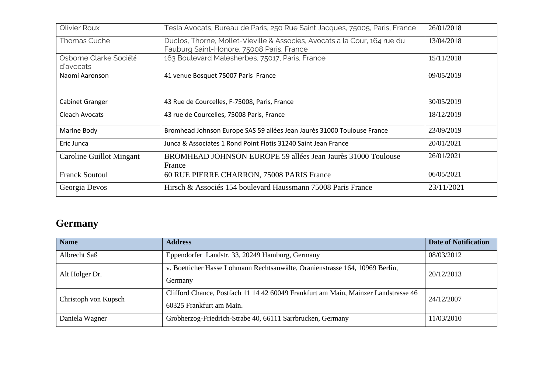| Olivier Roux                        | Tesla Avocats, Bureau de Paris, 250 Rue Saint Jacques, 75005, Paris, France                                            | 26/01/2018 |
|-------------------------------------|------------------------------------------------------------------------------------------------------------------------|------------|
| Thomas Cuche                        | Duclos, Thorne, Mollet-Vieville & Associes, Avocats a la Cour, 164 rue du<br>Fauburg Saint-Honore, 75008 Paris, France | 13/04/2018 |
| Osborne Clarke Société<br>d'avocats | 163 Boulevard Malesherbes, 75017, Paris, France                                                                        | 15/11/2018 |
| Naomi Aaronson                      | 41 venue Bosquet 75007 Paris France                                                                                    | 09/05/2019 |
| Cabinet Granger                     | 43 Rue de Courcelles, F-75008, Paris, France                                                                           | 30/05/2019 |
| Cleach Avocats                      | 43 rue de Courcelles, 75008 Paris, France                                                                              | 18/12/2019 |
| Marine Body                         | Bromhead Johnson Europe SAS 59 allées Jean Jaurès 31000 Toulouse France                                                | 23/09/2019 |
| Eric Junca                          | Junca & Associates 1 Rond Point Flotis 31240 Saint Jean France                                                         | 20/01/2021 |
| Caroline Guillot Mingant            | BROMHEAD JOHNSON EUROPE 59 allées Jean Jaurès 31000 Toulouse<br>France                                                 | 26/01/2021 |
| <b>Franck Soutoul</b>               | 60 RUE PIERRE CHARRON, 75008 PARIS France                                                                              | 06/05/2021 |
| Georgia Devos                       | Hirsch & Associés 154 boulevard Haussmann 75008 Paris France                                                           | 23/11/2021 |

### **Germany**

| <b>Name</b>          | <b>Address</b>                                                                                                 | <b>Date of Notification</b> |
|----------------------|----------------------------------------------------------------------------------------------------------------|-----------------------------|
| Albrecht Saß         | Eppendorfer Landstr. 33, 20249 Hamburg, Germany                                                                | 08/03/2012                  |
| Alt Holger Dr.       | v. Boetticher Hasse Lohmann Rechtsanwälte, Oranienstrasse 164, 10969 Berlin,<br>Germany                        | 20/12/2013                  |
| Christoph von Kupsch | Clifford Chance, Postfach 11 14 42 60049 Frankfurt am Main, Mainzer Landstrasse 46<br>60325 Frankfurt am Main. | 24/12/2007                  |
| Daniela Wagner       | Grobherzog-Friedrich-Strabe 40, 66111 Sarrbrucken, Germany                                                     | 11/03/2010                  |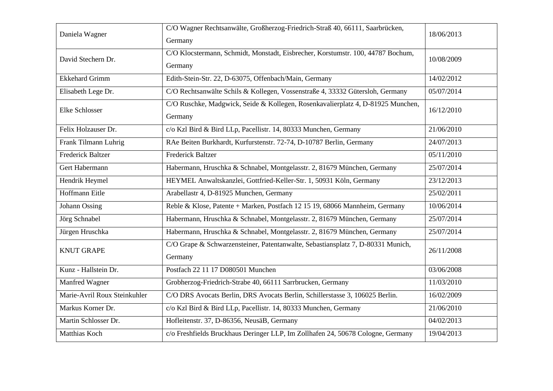| Daniela Wagner               | C/O Wagner Rechtsanwälte, Großherzog-Friedrich-Straß 40, 66111, Saarbrücken,<br>Germany    | 18/06/2013 |
|------------------------------|--------------------------------------------------------------------------------------------|------------|
| David Stechern Dr.           | C/O Klocstermann, Schmidt, Monstadt, Eisbrecher, Korstumstr. 100, 44787 Bochum,<br>Germany | 10/08/2009 |
| <b>Ekkehard Grimm</b>        | Edith-Stein-Str. 22, D-63075, Offenbach/Main, Germany                                      | 14/02/2012 |
| Elisabeth Lege Dr.           | C/O Rechtsanwälte Schils & Kollegen, Vossenstraße 4, 33332 Gütersloh, Germany              | 05/07/2014 |
| <b>Elke Schlosser</b>        | C/O Ruschke, Madgwick, Seide & Kollegen, Rosenkavalierplatz 4, D-81925 Munchen,<br>Germany | 16/12/2010 |
| Felix Holzauser Dr.          | c/o Kzl Bird & Bird LLp, Pacellistr. 14, 80333 Munchen, Germany                            | 21/06/2010 |
| Frank Tilmann Luhrig         | RAe Beiten Burkhardt, Kurfurstenstr. 72-74, D-10787 Berlin, Germany                        | 24/07/2013 |
| <b>Frederick Baltzer</b>     | <b>Frederick Baltzer</b>                                                                   | 05/11/2010 |
| Gert Habermann               | Habermann, Hruschka & Schnabel, Montgelasstr. 2, 81679 München, Germany                    | 25/07/2014 |
| Hendrik Heymel               | HEYMEL Anwaltskanzlei, Gottfried-Keller-Str. 1, 50931 Köln, Germany                        | 23/12/2013 |
| Hoffmann Eitle               | Arabellastr 4, D-81925 Munchen, Germany                                                    | 25/02/2011 |
| Johann Ossing                | Reble & Klose, Patente + Marken, Postfach 12 15 19, 68066 Mannheim, Germany                | 10/06/2014 |
| Jörg Schnabel                | Habermann, Hruschka & Schnabel, Montgelasstr. 2, 81679 München, Germany                    | 25/07/2014 |
| Jürgen Hruschka              | Habermann, Hruschka & Schnabel, Montgelasstr. 2, 81679 München, Germany                    | 25/07/2014 |
| <b>KNUT GRAPE</b>            | C/O Grape & Schwarzensteiner, Patentanwalte, Sebastiansplatz 7, D-80331 Munich,<br>Germany | 26/11/2008 |
| Kunz - Hallstein Dr.         | Postfach 22 11 17 D080501 Munchen                                                          | 03/06/2008 |
| Manfred Wagner               | Grobherzog-Friedrich-Strabe 40, 66111 Sarrbrucken, Germany                                 | 11/03/2010 |
| Marie-Avril Roux Steinkuhler | C/O DRS Avocats Berlin, DRS Avocats Berlin, Schillerstasse 3, 106025 Berlin.               | 16/02/2009 |
| Markus Korner Dr.            | c/o Kzl Bird & Bird LLp, Pacellistr. 14, 80333 Munchen, Germany                            | 21/06/2010 |
| Martin Schlosser Dr.         | Hofleitenstr. 37, D-86356, NeusäB, Germany                                                 | 04/02/2013 |
| Matthias Koch                | c/o Freshfields Bruckhaus Deringer LLP, Im Zollhafen 24, 50678 Cologne, Germany            | 19/04/2013 |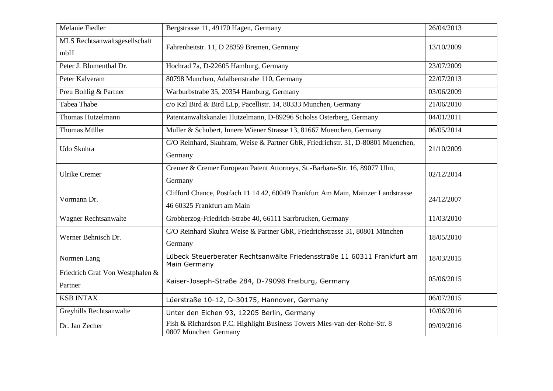| Melanie Fiedler                            | Bergstrasse 11, 49170 Hagen, Germany                                                                           | 26/04/2013 |
|--------------------------------------------|----------------------------------------------------------------------------------------------------------------|------------|
| MLS Rechtsanwaltsgesellschaft<br>mbH       | Fahrenheitstr. 11, D 28359 Bremen, Germany                                                                     | 13/10/2009 |
| Peter J. Blumenthal Dr.                    | Hochrad 7a, D-22605 Hamburg, Germany                                                                           | 23/07/2009 |
| Peter Kalveram                             | 80798 Munchen, Adalbertstrabe 110, Germany                                                                     | 22/07/2013 |
| Preu Bohlig & Partner                      | Warburbstrabe 35, 20354 Hamburg, Germany                                                                       | 03/06/2009 |
| Tabea Thabe                                | c/o Kzl Bird & Bird LLp, Pacellistr. 14, 80333 Munchen, Germany                                                | 21/06/2010 |
| <b>Thomas Hutzelmann</b>                   | Patentanwaltskanzlei Hutzelmann, D-89296 Scholss Osterberg, Germany                                            | 04/01/2011 |
| <b>Thomas Müller</b>                       | Muller & Schubert, Innere Wiener Strasse 13, 81667 Muenchen, Germany                                           | 06/05/2014 |
| Udo Skuhra                                 | C/O Reinhard, Skuhram, Weise & Partner GbR, Friedrichstr. 31, D-80801 Muenchen,<br>Germany                     | 21/10/2009 |
| <b>Ulrike Cremer</b>                       | Cremer & Cremer European Patent Attorneys, St.-Barbara-Str. 16, 89077 Ulm,<br>Germany                          | 02/12/2014 |
| Vormann Dr.                                | Clifford Chance, Postfach 11 14 42, 60049 Frankfurt Am Main, Mainzer Landstrasse<br>46 60325 Frankfurt am Main | 24/12/2007 |
| Wagner Rechtsanwalte                       | Grobherzog-Friedrich-Strabe 40, 66111 Sarrbrucken, Germany                                                     | 11/03/2010 |
| Werner Behnisch Dr.                        | C/O Reinhard Skuhra Weise & Partner GbR, Friedrichstrasse 31, 80801 München<br>Germany                         | 18/05/2010 |
| Normen Lang                                | Lübeck Steuerberater Rechtsanwälte Friedensstraße 11 60311 Frankfurt am<br>Main Germany                        | 18/03/2015 |
| Friedrich Graf Von Westphalen &<br>Partner | Kaiser-Joseph-Straße 284, D-79098 Freiburg, Germany                                                            | 05/06/2015 |
| <b>KSB INTAX</b>                           | Lüerstraße 10-12, D-30175, Hannover, Germany                                                                   | 06/07/2015 |
| Greyhills Rechtsanwalte                    | Unter den Eichen 93, 12205 Berlin, Germany                                                                     | 10/06/2016 |
| Dr. Jan Zecher                             | Fish & Richardson P.C. Highlight Business Towers Mies-van-der-Rohe-Str. 8<br>0807 München Germany              | 09/09/2016 |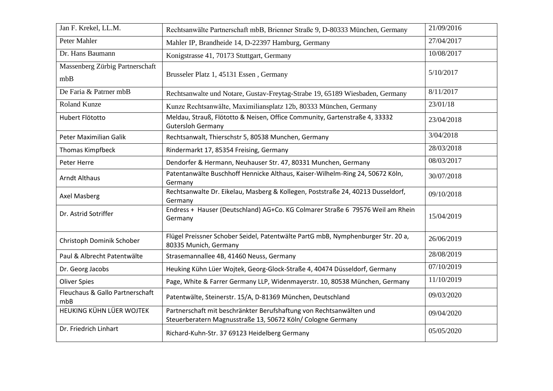| Jan F. Krekel, LL.M.                   | Rechtsanwälte Partnerschaft mbB, Brienner Straße 9, D-80333 München, Germany                                                       | 21/09/2016 |
|----------------------------------------|------------------------------------------------------------------------------------------------------------------------------------|------------|
| Peter Mahler                           | Mahler IP, Brandheide 14, D-22397 Hamburg, Germany                                                                                 | 27/04/2017 |
| Dr. Hans Baumann                       | Konigstrasse 41, 70173 Stuttgart, Germany                                                                                          | 10/08/2017 |
| Massenberg Zürbig Partnerschaft<br>mbB | Brusseler Platz 1, 45131 Essen, Germany                                                                                            | 5/10/2017  |
| De Faria & Patrner mbB                 | Rechtsanwalte und Notare, Gustav-Freytag-Strabe 19, 65189 Wiesbaden, Germany                                                       | 8/11/2017  |
| Roland Kunze                           | Kunze Rechtsanwälte, Maximiliansplatz 12b, 80333 München, Germany                                                                  | 23/01/18   |
| Hubert Flötotto                        | Meldau, Strauß, Flötotto & Neisen, Office Community, Gartenstraße 4, 33332<br><b>Gutersloh Germany</b>                             | 23/04/2018 |
| Peter Maximilian Galik                 | Rechtsanwalt, Thierschstr 5, 80538 Munchen, Germany                                                                                | 3/04/2018  |
| Thomas Kimpfbeck                       | Rindermarkt 17, 85354 Freising, Germany                                                                                            | 28/03/2018 |
| Peter Herre                            | Dendorfer & Hermann, Neuhauser Str. 47, 80331 Munchen, Germany                                                                     | 08/03/2017 |
| <b>Arndt Althaus</b>                   | Patentanwälte Buschhoff Hennicke Althaus, Kaiser-Wilhelm-Ring 24, 50672 Köln,<br>Germany                                           | 30/07/2018 |
| Axel Masberg                           | Rechtsanwalte Dr. Eikelau, Masberg & Kollegen, Poststraße 24, 40213 Dusseldorf,<br>Germany                                         | 09/10/2018 |
| Dr. Astrid Sotriffer                   | Endress + Hauser (Deutschland) AG+Co. KG Colmarer Straße 6 79576 Weil am Rhein<br>Germany                                          | 15/04/2019 |
| Christoph Dominik Schober              | Flügel Preissner Schober Seidel, Patentwälte PartG mbB, Nymphenburger Str. 20 a,<br>80335 Munich, Germany                          | 26/06/2019 |
| Paul & Albrecht Patentwälte            | Strasemannallee 4B, 41460 Neuss, Germany                                                                                           | 28/08/2019 |
| Dr. Georg Jacobs                       | Heuking Kühn Lüer Wojtek, Georg-Glock-Straße 4, 40474 Düsseldorf, Germany                                                          | 07/10/2019 |
| <b>Oliver Spies</b>                    | Page, White & Farrer Germany LLP, Widenmayerstr. 10, 80538 München, Germany                                                        | 11/10/2019 |
| Fleuchaus & Gallo Partnerschaft<br>mbB | Patentwälte, Steinerstr. 15/A, D-81369 München, Deutschland                                                                        | 09/03/2020 |
| HEUKING KÜHN LÜER WOJTEK               | Partnerschaft mit beschränkter Berufshaftung von Rechtsanwälten und<br>Steuerberatern Magnusstraße 13, 50672 Köln/ Cologne Germany | 09/04/2020 |
| Dr. Friedrich Linhart                  | Richard-Kuhn-Str. 37 69123 Heidelberg Germany                                                                                      | 05/05/2020 |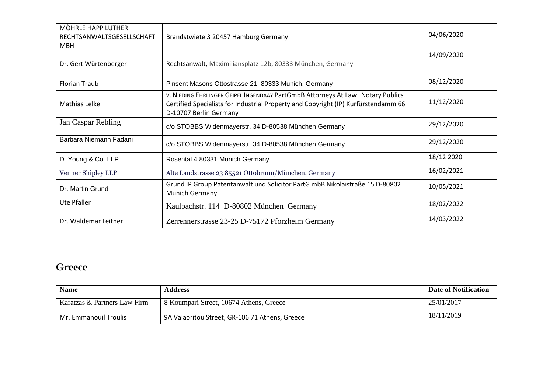| MÖHRLE HAPP LUTHER<br>RECHTSANWALTSGESELLSCHAFT<br><b>MBH</b> | Brandstwiete 3 20457 Hamburg Germany                                                                                                                                                             | 04/06/2020 |
|---------------------------------------------------------------|--------------------------------------------------------------------------------------------------------------------------------------------------------------------------------------------------|------------|
| Dr. Gert Würtenberger                                         | Rechtsanwalt, Maximiliansplatz 12b, 80333 München, Germany                                                                                                                                       | 14/09/2020 |
| <b>Florian Traub</b>                                          | Pinsent Masons Ottostrasse 21, 80333 Munich, Germany                                                                                                                                             | 08/12/2020 |
| Mathias Lelke                                                 | V. NIEDING EHRLINGER GEIPEL INGENDAAY PartGmbB Attorneys At Law · Notary Publics<br>Certified Specialists for Industrial Property and Copyright (IP) Kurfürstendamm 66<br>D-10707 Berlin Germany | 11/12/2020 |
| Jan Caspar Rebling                                            | c/o STOBBS Widenmayerstr. 34 D-80538 München Germany                                                                                                                                             | 29/12/2020 |
| Barbara Niemann Fadani                                        | c/o STOBBS Widenmayerstr. 34 D-80538 München Germany                                                                                                                                             | 29/12/2020 |
| D. Young & Co. LLP                                            | Rosental 4 80331 Munich Germany                                                                                                                                                                  | 18/12 2020 |
| Venner Shipley LLP                                            | Alte Landstrasse 23 85521 Ottobrunn/München, Germany                                                                                                                                             | 16/02/2021 |
| Dr. Martin Grund                                              | Grund IP Group Patentanwalt und Solicitor PartG mbB Nikolaistraße 15 D-80802<br>Munich Germany                                                                                                   | 10/05/2021 |
| <b>Ute Pfaller</b>                                            | Kaulbachstr. 114 D-80802 München Germany                                                                                                                                                         | 18/02/2022 |
| Dr. Waldemar Leitner                                          | Zerrennerstrasse 23-25 D-75172 Pforzheim Germany                                                                                                                                                 | 14/03/2022 |

### **Greece**

| <b>Name</b>                  | <b>Address</b>                                 | <b>Date of Notification</b> |
|------------------------------|------------------------------------------------|-----------------------------|
| Karatzas & Partners Law Firm | 8 Koumpari Street, 10674 Athens, Greece        | 25/01/2017                  |
| Mr. Emmanouil Troulis        | 9A Valaoritou Street, GR-106 71 Athens, Greece | 18/11/2019                  |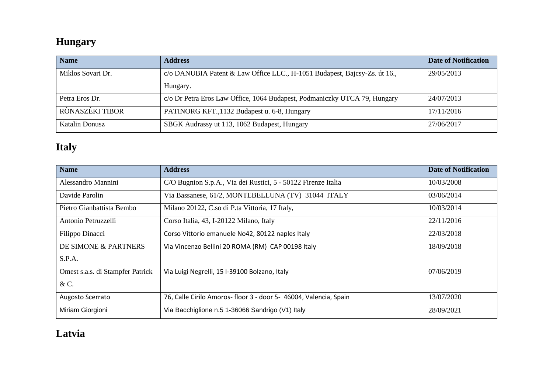### **Hungary**

| <b>Name</b>       | <b>Address</b>                                                            | <b>Date of Notification</b> |
|-------------------|---------------------------------------------------------------------------|-----------------------------|
| Miklos Sovari Dr. | c/o DANUBIA Patent & Law Office LLC., H-1051 Budapest, Bajcsy-Zs. út 16., | 29/05/2013                  |
|                   | Hungary.                                                                  |                             |
| Petra Eros Dr.    | c/o Dr Petra Eros Law Office, 1064 Budapest, Podmaniczky UTCA 79, Hungary | 24/07/2013                  |
| RÒNASZÈKI TIBOR   | PATINORG KFT., 1132 Budapest u. 6-8, Hungary                              | 17/11/2016                  |
| Katalin Donusz    | SBGK Audrassy ut 113, 1062 Budapest, Hungary                              | 27/06/2017                  |

# **Italy**

| <b>Name</b>                      | <b>Address</b>                                                   | <b>Date of Notification</b> |
|----------------------------------|------------------------------------------------------------------|-----------------------------|
| Alessandro Mannini               | C/O Bugnion S.p.A., Via dei Rustici, 5 - 50122 Firenze Italia    | 10/03/2008                  |
| Davide Parolin                   | Via Bassanese, 61/2, MONTEBELLUNA (TV) 31044 ITALY               | 03/06/2014                  |
| Pietro Gianbattista Bembo        | Milano 20122, C.so di P.ta Vittoria, 17 Italy,                   | 10/03/2014                  |
| Antonio Petruzzelli              | Corso Italia, 43, I-20122 Milano, Italy                          | 22/11/2016                  |
| Filippo Dinacci                  | Corso Vittorio emanuele No42, 80122 naples Italy                 | 22/03/2018                  |
| DE SIMONE & PARTNERS             | Via Vincenzo Bellini 20 ROMA (RM) CAP 00198 Italy                | 18/09/2018                  |
| S.P.A.                           |                                                                  |                             |
| Omest s.a.s. di Stampfer Patrick | Via Luigi Negrelli, 15 I-39100 Bolzano, Italy                    | 07/06/2019                  |
| & C.                             |                                                                  |                             |
| Augosto Scerrato                 | 76, Calle Cirilo Amoros-floor 3 - door 5- 46004, Valencia, Spain | 13/07/2020                  |
| Miriam Giorgioni                 | Via Bacchiglione n.5 1-36066 Sandrigo (V1) Italy                 | 28/09/2021                  |

### **Latvia**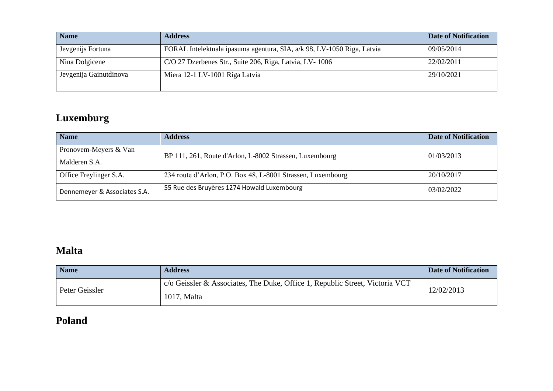| <b>Name</b>            | <b>Address</b>                                                         | <b>Date of Notification</b> |
|------------------------|------------------------------------------------------------------------|-----------------------------|
| Jevgenijs Fortuna      | FORAL Intelektuala ipasuma agentura, SIA, a/k 98, LV-1050 Riga, Latvia | 09/05/2014                  |
| Nina Dolgicene         | C/O 27 Dzerbenes Str., Suite 206, Riga, Latvia, LV-1006                | 22/02/2011                  |
| Jevgenija Gainutdinova | Miera 12-1 LV-1001 Riga Latvia                                         | 29/10/2021                  |

# **Luxemburg**

| <b>Name</b>                  | <b>Address</b>                                              | Date of Notification |
|------------------------------|-------------------------------------------------------------|----------------------|
| Pronovem-Meyers & Van        | BP 111, 261, Route d'Arlon, L-8002 Strassen, Luxembourg     | 01/03/2013           |
| Malderen S.A.                |                                                             |                      |
| Office Freylinger S.A.       | 234 route d'Arlon, P.O. Box 48, L-8001 Strassen, Luxembourg | 20/10/2017           |
| Dennemeyer & Associates S.A. | 55 Rue des Bruyères 1274 Howald Luxembourg                  | 03/02/2022           |

### **Malta**

| <b>Name</b>    | <b>Address</b>                                                                                       | <b>Date of Notification</b> |
|----------------|------------------------------------------------------------------------------------------------------|-----------------------------|
| Peter Geissler | $\alpha$ c/o Geissler & Associates, The Duke, Office 1, Republic Street, Victoria VCT<br>1017, Malta | 12/02/2013                  |

# **Poland**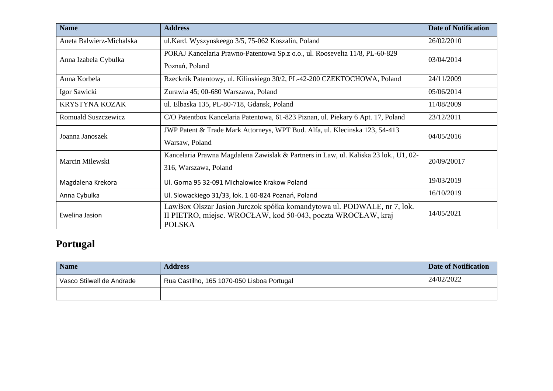| <b>Name</b>                | <b>Address</b>                                                                                                                                           | <b>Date of Notification</b> |
|----------------------------|----------------------------------------------------------------------------------------------------------------------------------------------------------|-----------------------------|
| Aneta Balwierz-Michalska   | ul.Kard. Wyszynskeego 3/5, 75-062 Koszalin, Poland                                                                                                       | 26/02/2010                  |
| Anna Izabela Cybulka       | PORAJ Kancelaria Prawno-Patentowa Sp.z o.o., ul. Roosevelta 11/8, PL-60-829<br>Poznań, Poland                                                            | 03/04/2014                  |
| Anna Korbela               | Rzecknik Patentowy, ul. Kilinskiego 30/2, PL-42-200 CZEKTOCHOWA, Poland                                                                                  | 24/11/2009                  |
| Igor Sawicki               | Zurawia 45; 00-680 Warszawa, Poland                                                                                                                      | 05/06/2014                  |
| <b>KRYSTYNA KOZAK</b>      | ul. Elbaska 135, PL-80-718, Gdansk, Poland                                                                                                               | 11/08/2009                  |
| <b>Romuald Suszczewicz</b> | C/O Patentbox Kancelaria Patentowa, 61-823 Piznan, ul. Piekary 6 Apt. 17, Poland                                                                         | 23/12/2011                  |
| Joanna Janoszek            | JWP Patent & Trade Mark Attorneys, WPT Bud. Alfa, ul. Klecinska 123, 54-413<br>Warsaw, Poland                                                            | 04/05/2016                  |
| Marcin Milewski            | Kancelaria Prawna Magdalena Zawislak & Partners in Law, ul. Kaliska 23 lok., U1, 02-<br>316, Warszawa, Poland                                            | 20/09/20017                 |
| Magdalena Krekora          | Ul. Gorna 95 32-091 Michalowice Krakow Poland                                                                                                            | 19/03/2019                  |
| Anna Cybulka               | Ul. Slowackiego 31/33, lok. 1 60-824 Poznań, Poland                                                                                                      | 16/10/2019                  |
| Ewelina Jasion             | LawBox Olszar Jasion Jurczok spółka komandytowa ul. PODWALE, nr 7, lok.<br>II PIETRO, miejsc. WROCŁAW, kod 50-043, poczta WROCŁAW, kraj<br><b>POLSKA</b> | 14/05/2021                  |

# **Portugal**

| <b>Name</b>               | <b>Address</b>                             | Date of Notification |
|---------------------------|--------------------------------------------|----------------------|
| Vasco Stilwell de Andrade | Rua Castilho, 165 1070-050 Lisboa Portugal | 24/02/2022           |
|                           |                                            |                      |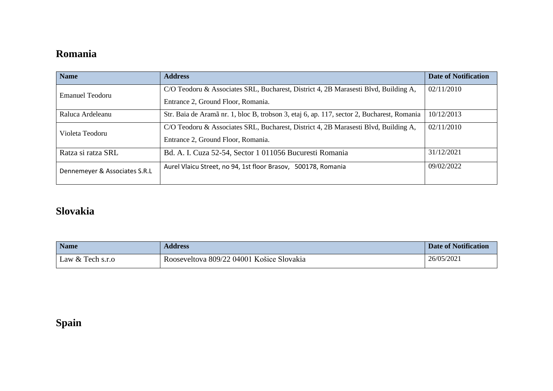### **Romania**

| <b>Name</b>                   | <b>Address</b>                                                                             | <b>Date of Notification</b> |
|-------------------------------|--------------------------------------------------------------------------------------------|-----------------------------|
| Emanuel Teodoru               | C/O Teodoru & Associates SRL, Bucharest, District 4, 2B Marasesti Blvd, Building A,        | 02/11/2010                  |
|                               | Entrance 2, Ground Floor, Romania.                                                         |                             |
| Raluca Ardeleanu              | Str. Baia de Aramã nr. 1, bloc B, trobson 3, etaj 6, ap. 117, sector 2, Bucharest, Romania | 10/12/2013                  |
| Violeta Teodoru               | C/O Teodoru & Associates SRL, Bucharest, District 4, 2B Marasesti Blvd, Building A,        | 02/11/2010                  |
|                               | Entrance 2, Ground Floor, Romania.                                                         |                             |
| Ratza si ratza SRL            | Bd. A. I. Cuza 52-54, Sector 1 011056 Bucuresti Romania                                    | 31/12/2021                  |
| Dennemeyer & Associates S.R.L | Aurel Vlaicu Street, no 94, 1st floor Brasov,<br>500178, Romania                           | 09/02/2022                  |
|                               |                                                                                            |                             |

### **Slovakia**

| <b>Name</b>        | <b>Address</b>                            | <b>Date of Notification</b> |
|--------------------|-------------------------------------------|-----------------------------|
| Law $&$ Tech s.r.o | Rooseveltova 809/22 04001 Košice Slovakia | 26/05/2021                  |

# **Spain**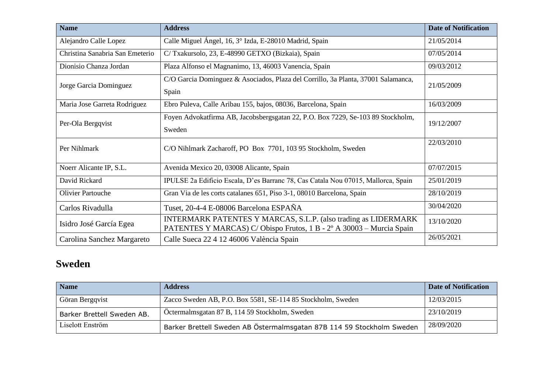| <b>Name</b>                     | <b>Address</b>                                                                                                                         | <b>Date of Notification</b> |
|---------------------------------|----------------------------------------------------------------------------------------------------------------------------------------|-----------------------------|
| Alejandro Calle Lopez           | Calle Miguel Ángel, 16, 3° Izda, E-28010 Madrid, Spain                                                                                 | 21/05/2014                  |
| Christina Sanabria San Emeterio | C/Txakursolo, 23, E-48990 GETXO (Bizkaia), Spain                                                                                       | 07/05/2014                  |
| Dionisio Chanza Jordan          | Plaza Alfonso el Magnanimo, 13, 46003 Vanencia, Spain                                                                                  | 09/03/2012                  |
| Jorge Garcia Dominguez          | C/O Garcia Dominguez & Asociados, Plaza del Corrillo, 3a Planta, 37001 Salamanca,                                                      | 21/05/2009                  |
|                                 | Spain                                                                                                                                  |                             |
| Maria Jose Garreta Rodriguez    | Ebro Puleva, Calle Aribau 155, bajos, 08036, Barcelona, Spain                                                                          | 16/03/2009                  |
| Per-Ola Bergqvist               | Foyen Advokatfirma AB, Jacobsbergsgatan 22, P.O. Box 7229, Se-103 89 Stockholm,                                                        | 19/12/2007                  |
|                                 | Sweden                                                                                                                                 |                             |
| Per Nihlmark                    | C/O Nihlmark Zacharoff, PO Box 7701, 103 95 Stockholm, Sweden                                                                          | 22/03/2010                  |
| Noerr Alicante IP, S.L.         | Avenida Mexico 20, 03008 Alicante, Spain                                                                                               | 07/07/2015                  |
| David Rickard                   | IPULSE 2a Edificio Escala, D'es Barranc 78, Cas Catala Nou 07015, Mallorca, Spain                                                      | 25/01/2019                  |
| <b>Olivier Partouche</b>        | Gran Via de les corts catalanes 651, Piso 3-1, 08010 Barcelona, Spain                                                                  | 28/10/2019                  |
| Carlos Rivadulla                | Tuset, 20-4-4 E-08006 Barcelona ESPAÑA                                                                                                 | 30/04/2020                  |
| Isidro José García Egea         | INTERMARK PATENTES Y MARCAS, S.L.P. (also trading as LIDERMARK)<br>PATENTES Y MARCAS) C/Obispo Frutos, 1 B - 2º A 30003 - Murcia Spain | 13/10/2020                  |
| Carolina Sanchez Margareto      | Calle Sueca 22 4 12 46006 València Spain                                                                                               | 26/05/2021                  |

### **Sweden**

| <b>Name</b>                | <b>Address</b>                                                        | <b>Date of Notification</b> |
|----------------------------|-----------------------------------------------------------------------|-----------------------------|
| Göran Bergqvist            | Zacco Sweden AB, P.O. Box 5581, SE-114 85 Stockholm, Sweden           | 12/03/2015                  |
| Barker Brettell Sweden AB. | Öctermalmsgatan 87 B, 114 59 Stockholm, Sweden                        | 23/10/2019                  |
| Liselott Enström           | Barker Brettell Sweden AB Östermalmsgatan 87B 114 59 Stockholm Sweden | 28/09/2020                  |